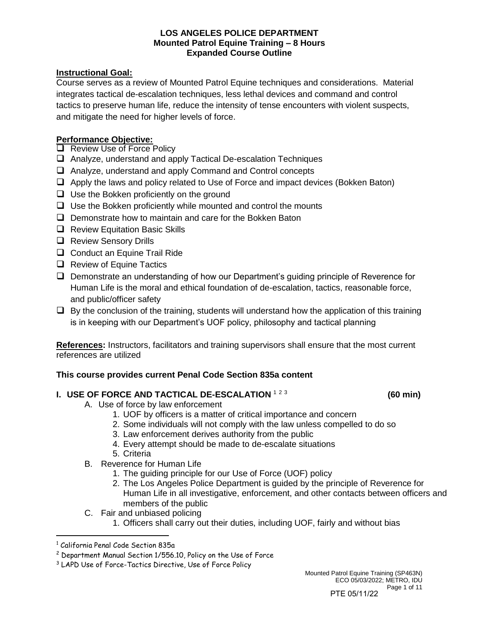# **Instructional Goal:**

Course serves as a review of Mounted Patrol Equine techniques and considerations. Material integrates tactical de-escalation techniques, less lethal devices and command and control tactics to preserve human life, reduce the intensity of tense encounters with violent suspects, and mitigate the need for higher levels of force.

# **Performance Objective:**

- ❑ Review Use of Force Policy
- ❑ Analyze, understand and apply Tactical De-escalation Techniques
- ❑ Analyze, understand and apply Command and Control concepts
- ❑ Apply the laws and policy related to Use of Force and impact devices (Bokken Baton)
- ❑ Use the Bokken proficiently on the ground
- $\Box$  Use the Bokken proficiently while mounted and control the mounts
- ❑ Demonstrate how to maintain and care for the Bokken Baton
- ❑ Review Equitation Basic Skills
- ❑ Review Sensory Drills
- ❑ Conduct an Equine Trail Ride
- ❑ Review of Equine Tactics
- ❑ Demonstrate an understanding of how our Department's guiding principle of Reverence for Human Life is the moral and ethical foundation of de-escalation, tactics, reasonable force, and public/officer safety
- $\Box$  By the conclusion of the training, students will understand how the application of this training is in keeping with our Department's UOF policy, philosophy and tactical planning

**References:** Instructors, facilitators and training supervisors shall ensure that the most current references are utilized

# **This course provides current Penal Code Section 835a content**

# **I. USE OF FORCE AND TACTICAL DE-ESCALATION 123**

#### **(60 min)**

- A. Use of force by law enforcement
	- 1. UOF by officers is a matter of critical importance and concern
	- 2. Some individuals will not comply with the law unless compelled to do so
	- 3. Law enforcement derives authority from the public
	- 4. Every attempt should be made to de-escalate situations
	- 5. Criteria
- B. Reverence for Human Life
	- 1. The guiding principle for our Use of Force (UOF) policy
	- 2. The Los Angeles Police Department is guided by the principle of Reverence for Human Life in all investigative, enforcement, and other contacts between officers and members of the public
- C. Fair and unbiased policing
	- 1. Officers shall carry out their duties, including UOF, fairly and without bias

<sup>1</sup> California Penal Code Section 835a

<sup>2</sup> Department Manual Section 1/556.10, Policy on the Use of Force

<sup>&</sup>lt;sup>3</sup> LAPD Use of Force-Tactics Directive, Use of Force Policy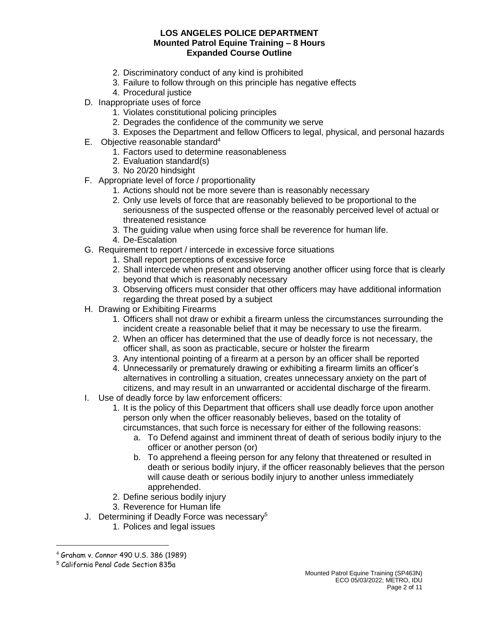- 2. Discriminatory conduct of any kind is prohibited
- 3. Failure to follow through on this principle has negative effects
- 4. Procedural justice
- D. Inappropriate uses of force
	- 1. Violates constitutional policing principles
	- 2. Degrades the confidence of the community we serve
	- 3. Exposes the Department and fellow Officers to legal, physical, and personal hazards
- E. Objective reasonable standard<sup>4</sup>
	- 1. Factors used to determine reasonableness
	- 2. Evaluation standard(s)
	- 3. No 20/20 hindsight
- F. Appropriate level of force / proportionality
	- 1. Actions should not be more severe than is reasonably necessary
	- 2. Only use levels of force that are reasonably believed to be proportional to the seriousness of the suspected offense or the reasonably perceived level of actual or threatened resistance
	- 3. The guiding value when using force shall be reverence for human life.
	- 4. De-Escalation
- G. Requirement to report / intercede in excessive force situations
	- 1. Shall report perceptions of excessive force
	- 2. Shall intercede when present and observing another officer using force that is clearly beyond that which is reasonably necessary
	- 3. Observing officers must consider that other officers may have additional information regarding the threat posed by a subject
- H. Drawing or Exhibiting Firearms
	- 1. Officers shall not draw or exhibit a firearm unless the circumstances surrounding the incident create a reasonable belief that it may be necessary to use the firearm.
	- 2. When an officer has determined that the use of deadly force is not necessary, the officer shall, as soon as practicable, secure or holster the firearm
	- 3. Any intentional pointing of a firearm at a person by an officer shall be reported
	- 4. Unnecessarily or prematurely drawing or exhibiting a firearm limits an officer's alternatives in controlling a situation, creates unnecessary anxiety on the part of citizens, and may result in an unwarranted or accidental discharge of the firearm.
- I. Use of deadly force by law enforcement officers:
	- 1. It is the policy of this Department that officers shall use deadly force upon another person only when the officer reasonably believes, based on the totality of circumstances, that such force is necessary for either of the following reasons:
		- a. To Defend against and imminent threat of death of serious bodily injury to the officer or another person (or)
		- b. To apprehend a fleeing person for any felony that threatened or resulted in death or serious bodily injury, if the officer reasonably believes that the person will cause death or serious bodily injury to another unless immediately apprehended.
	- 2. Define serious bodily injury
	- 3. Reverence for Human life
- J. Determining if Deadly Force was necessary<sup>5</sup>
	- 1. Polices and legal issues

<sup>4</sup> Graham v. Connor 490 U.S. 386 (1989)

<sup>5</sup> California Penal Code Section 835a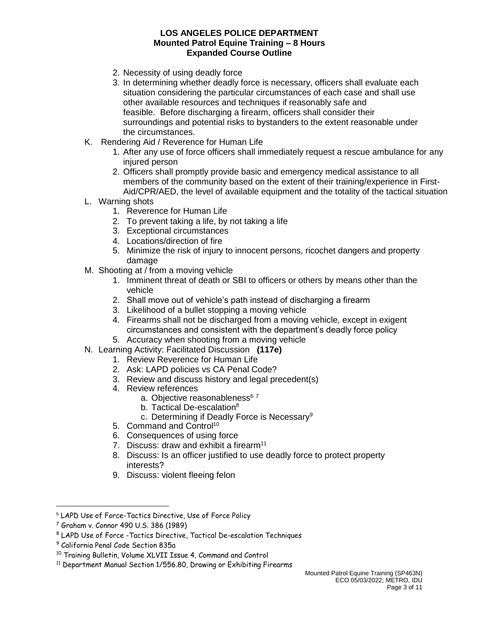- 2. Necessity of using deadly force
- 3. In determining whether deadly force is necessary, officers shall evaluate each situation considering the particular circumstances of each case and shall use other available resources and techniques if reasonably safe and feasible. Before discharging a firearm, officers shall consider their surroundings and potential risks to bystanders to the extent reasonable under the circumstances.
- K. Rendering Aid / Reverence for Human Life
	- 1. After any use of force officers shall immediately request a rescue ambulance for any injured person
	- 2. Officers shall promptly provide basic and emergency medical assistance to all members of the community based on the extent of their training/experience in First-Aid/CPR/AED, the level of available equipment and the totality of the tactical situation
- L. Warning shots
	- 1. Reverence for Human Life
	- 2. To prevent taking a life, by not taking a life
	- 3. Exceptional circumstances
	- 4. Locations/direction of fire
	- 5. Minimize the risk of injury to innocent persons, ricochet dangers and property damage
- M. Shooting at / from a moving vehicle
	- 1. Imminent threat of death or SBI to officers or others by means other than the vehicle
	- 2. Shall move out of vehicle's path instead of discharging a firearm
	- 3. Likelihood of a bullet stopping a moving vehicle
	- 4. Firearms shall not be discharged from a moving vehicle, except in exigent circumstances and consistent with the department's deadly force policy
	- 5. Accuracy when shooting from a moving vehicle
- N. Learning Activity: Facilitated Discussion **(117e)**
	- 1. Review Reverence for Human Life
	- 2. Ask: LAPD policies vs CA Penal Code?
	- 3. Review and discuss history and legal precedent(s)
	- 4. Review references
		- a. Objective reasonableness<sup>67</sup>
			- b. Tactical De-escalation<sup>8</sup>
			- c. Determining if Deadly Force is Necessary<sup>9</sup>
	- 5. Command and Control<sup>10</sup>
	- 6. Consequences of using force
	- 7. Discuss: draw and exhibit a firearm<sup>11</sup>
	- 8. Discuss: Is an officer justified to use deadly force to protect property interests?
	- 9. Discuss: violent fleeing felon

<sup>6</sup> LAPD Use of Force-Tactics Directive, Use of Force Policy

<sup>7</sup> Graham v. Connor 490 U.S. 386 (1989)

<sup>8</sup> LAPD Use of Force -Tactics Directive, Tactical De-escalation Techniques

<sup>9</sup> California Penal Code Section 835a

<sup>10</sup> Training Bulletin, Volume XLVII Issue 4, Command and Control

<sup>&</sup>lt;sup>11</sup> Department Manual Section 1/556.80, Drawing or Exhibiting Firearms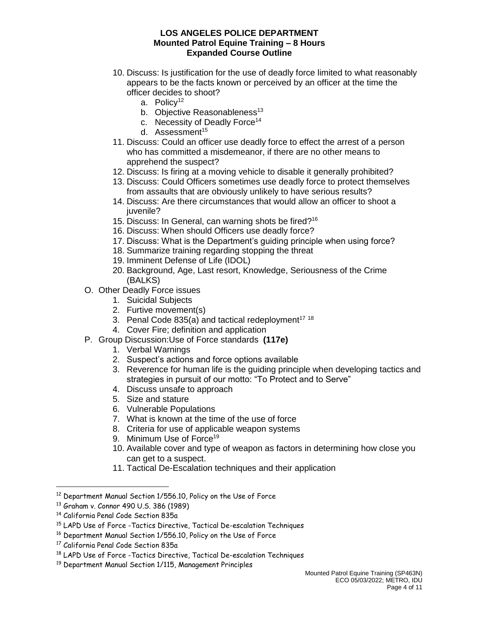- 10. Discuss: Is justification for the use of deadly force limited to what reasonably appears to be the facts known or perceived by an officer at the time the officer decides to shoot?
	- a. Policy<sup>12</sup>
	- b. Objective Reasonableness<sup>13</sup>
	- c. Necessity of Deadly Force<sup>14</sup>
	- d. Assessment<sup>15</sup>
- 11. Discuss: Could an officer use deadly force to effect the arrest of a person who has committed a misdemeanor, if there are no other means to apprehend the suspect?
- 12. Discuss: Is firing at a moving vehicle to disable it generally prohibited?
- 13. Discuss: Could Officers sometimes use deadly force to protect themselves from assaults that are obviously unlikely to have serious results?
- 14. Discuss: Are there circumstances that would allow an officer to shoot a iuvenile?
- 15. Discuss: In General, can warning shots be fired?<sup>16</sup>
- 16. Discuss: When should Officers use deadly force?
- 17. Discuss: What is the Department's guiding principle when using force?
- 18. Summarize training regarding stopping the threat
- 19. Imminent Defense of Life (IDOL)
- 20. Background, Age, Last resort, Knowledge, Seriousness of the Crime (BALKS)
- O. Other Deadly Force issues
	- 1. Suicidal Subjects
	- 2. Furtive movement(s)
	- 3. Penal Code 835(a) and tactical redeployment<sup>17</sup> 18
	- 4. Cover Fire; definition and application
- P. Group Discussion:Use of Force standards **(117e)**
	- 1. Verbal Warnings
	- 2. Suspect's actions and force options available
	- 3. Reverence for human life is the guiding principle when developing tactics and strategies in pursuit of our motto: "To Protect and to Serve"
	- 4. Discuss unsafe to approach
	- 5. Size and stature
	- 6. Vulnerable Populations
	- 7. What is known at the time of the use of force
	- 8. Criteria for use of applicable weapon systems
	- 9. Minimum Use of Force<sup>19</sup>
	- 10. Available cover and type of weapon as factors in determining how close you can get to a suspect.
	- 11. Tactical De-Escalation techniques and their application

<sup>12</sup> Department Manual Section 1/556.10, Policy on the Use of Force

<sup>13</sup> Graham v. Connor 490 U.S. 386 (1989)

<sup>14</sup> California Penal Code Section 835a

<sup>15</sup> LAPD Use of Force -Tactics Directive, Tactical De-escalation Techniques

<sup>16</sup> Department Manual Section 1/556.10, Policy on the Use of Force

<sup>17</sup> California Penal Code Section 835a

<sup>18</sup> LAPD Use of Force -Tactics Directive, Tactical De-escalation Techniques

<sup>19</sup> Department Manual Section 1/115, Management Principles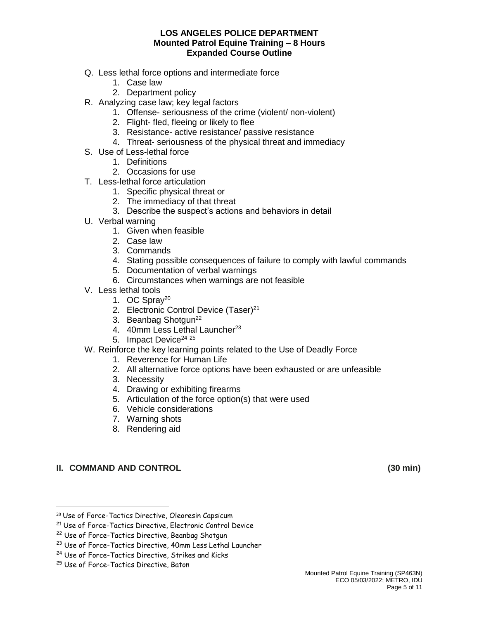- Q. Less lethal force options and intermediate force
	- 1. Case law
	- 2. Department policy
- R. Analyzing case law; key legal factors
	- 1. Offense- seriousness of the crime (violent/ non-violent)
	- 2. Flight- fled, fleeing or likely to flee
	- 3. Resistance- active resistance/ passive resistance
	- 4. Threat- seriousness of the physical threat and immediacy
- S. Use of Less-lethal force
	- 1. Definitions
	- 2. Occasions for use
- T. Less-lethal force articulation
	- 1. Specific physical threat or
	- 2. The immediacy of that threat
	- 3. Describe the suspect's actions and behaviors in detail
- U. Verbal warning
	- 1. Given when feasible
	- 2. Case law
	- 3. Commands
	- 4. Stating possible consequences of failure to comply with lawful commands
	- 5. Documentation of verbal warnings
	- 6. Circumstances when warnings are not feasible
- V. Less lethal tools
	- 1. OC Spray<sup>20</sup>
	- 2. Electronic Control Device (Taser)<sup>21</sup>
	- 3. Beanbag Shotgun<sup>22</sup>
	- 4. 40mm Less Lethal Launcher<sup>23</sup>
	- 5. Impact Device<sup>24 25</sup>
- W. Reinforce the key learning points related to the Use of Deadly Force
	- 1. Reverence for Human Life
	- 2. All alternative force options have been exhausted or are unfeasible
	- 3. Necessity
	- 4. Drawing or exhibiting firearms
	- 5. Articulation of the force option(s) that were used
	- 6. Vehicle considerations
	- 7. Warning shots
	- 8. Rendering aid

# **II. COMMAND AND CONTROL (30 min)**

<sup>20</sup> Use of Force-Tactics Directive, Oleoresin Capsicum

<sup>21</sup> Use of Force-Tactics Directive, Electronic Control Device

<sup>&</sup>lt;sup>22</sup> Use of Force-Tactics Directive, Beanbag Shotgun

<sup>&</sup>lt;sup>23</sup> Use of Force-Tactics Directive, 40mm Less Lethal Launcher

<sup>&</sup>lt;sup>24</sup> Use of Force-Tactics Directive, Strikes and Kicks

<sup>25</sup> Use of Force-Tactics Directive, Baton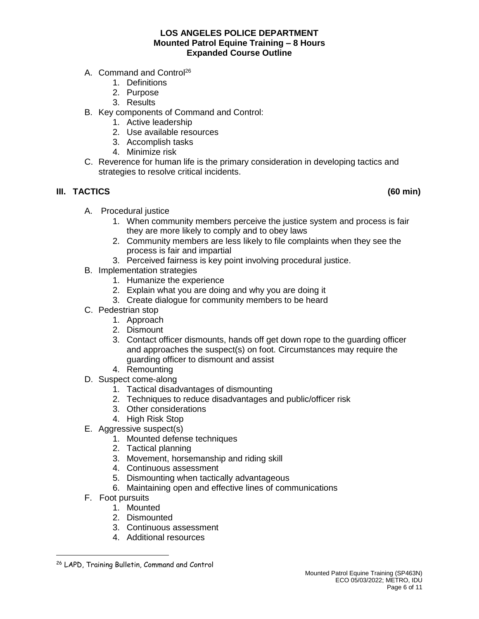- A. Command and Control<sup>26</sup>
	- 1. Definitions
	- 2. Purpose
	- 3. Results
- B. Key components of Command and Control:
	- 1. Active leadership
	- 2. Use available resources
	- 3. Accomplish tasks
	- 4. Minimize risk
- C. Reverence for human life is the primary consideration in developing tactics and strategies to resolve critical incidents.

# **III. TACTICS (60 min)**

- A. Procedural justice
	- 1. When community members perceive the justice system and process is fair they are more likely to comply and to obey laws
	- 2. Community members are less likely to file complaints when they see the process is fair and impartial
	- 3. Perceived fairness is key point involving procedural justice.
- B. Implementation strategies
	- 1. Humanize the experience
	- 2. Explain what you are doing and why you are doing it
	- 3. Create dialogue for community members to be heard
- C. Pedestrian stop
	- 1. Approach
	- 2. Dismount
	- 3. Contact officer dismounts, hands off get down rope to the guarding officer and approaches the suspect(s) on foot. Circumstances may require the guarding officer to dismount and assist
	- 4. Remounting
- D. Suspect come-along
	- 1. Tactical disadvantages of dismounting
	- 2. Techniques to reduce disadvantages and public/officer risk
	- 3. Other considerations
	- 4. High Risk Stop
- E. Aggressive suspect(s)
	- 1. Mounted defense techniques
	- 2. Tactical planning
	- 3. Movement, horsemanship and riding skill
	- 4. Continuous assessment
	- 5. Dismounting when tactically advantageous
	- 6. Maintaining open and effective lines of communications
- F. Foot pursuits

- 1. Mounted
- 2. Dismounted
- 3. Continuous assessment
- 4. Additional resources

<sup>26</sup> LAPD, Training Bulletin, Command and Control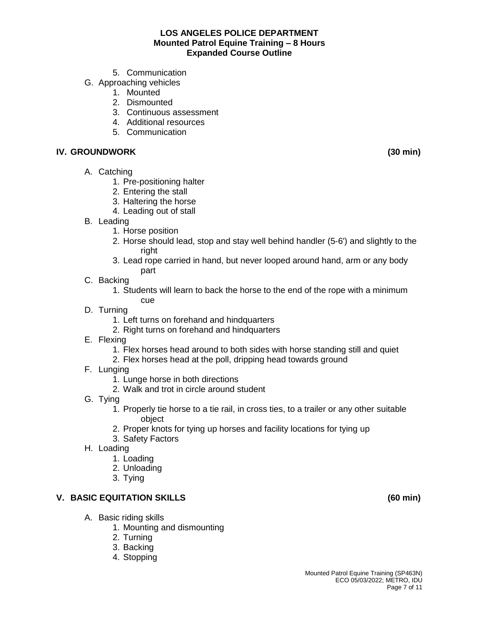- 5. Communication
- G. Approaching vehicles
	- 1. Mounted
	- 2. Dismounted
	- 3. Continuous assessment
	- 4. Additional resources
	- 5. Communication

## **IV. GROUNDWORK (30 min)**

- A. Catching
	- 1. Pre-positioning halter
	- 2. Entering the stall
	- 3. Haltering the horse
	- 4. Leading out of stall
- B. Leading
	- 1. Horse position
	- 2. Horse should lead, stop and stay well behind handler (5-6') and slightly to the right
	- 3. Lead rope carried in hand, but never looped around hand, arm or any body part
- C. Backing
	- 1. Students will learn to back the horse to the end of the rope with a minimum cue
- D. Turning
	- 1. Left turns on forehand and hindquarters
	- 2. Right turns on forehand and hindquarters
- E. Flexing
	- 1. Flex horses head around to both sides with horse standing still and quiet
	- 2. Flex horses head at the poll, dripping head towards ground
- F. Lunging
	- 1. Lunge horse in both directions
	- 2. Walk and trot in circle around student
- G. Tying
	- 1. Properly tie horse to a tie rail, in cross ties, to a trailer or any other suitable object
	- 2. Proper knots for tying up horses and facility locations for tying up
	- 3. Safety Factors
- H. Loading
	- 1. Loading
	- 2. Unloading
	- 3. Tying

# **V. BASIC EQUITATION SKILLS (60 min)**

- A. Basic riding skills
	- 1. Mounting and dismounting
	- 2. Turning
	- 3. Backing
	- 4. Stopping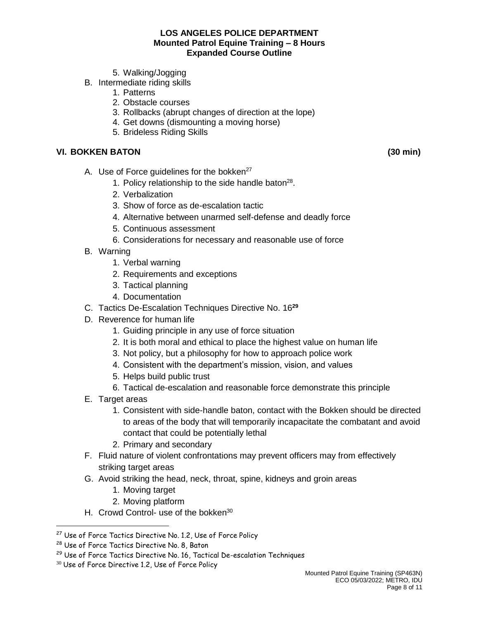- 5. Walking/Jogging
- B. Intermediate riding skills
	- 1. Patterns
	- 2. Obstacle courses
	- 3. Rollbacks (abrupt changes of direction at the lope)
	- 4. Get downs (dismounting a moving horse)
	- 5. Brideless Riding Skills

# **VI. BOKKEN BATON (30 min)**

- A. Use of Force guidelines for the bokken<sup>27</sup>
	- 1. Policy relationship to the side handle baton $^{28}$ .
	- 2. Verbalization
	- 3. Show of force as de-escalation tactic
	- 4. Alternative between unarmed self-defense and deadly force
	- 5. Continuous assessment
	- 6. Considerations for necessary and reasonable use of force
- B. Warning
	- 1. Verbal warning
	- 2. Requirements and exceptions
	- 3. Tactical planning
	- 4. Documentation
- C. Tactics De-Escalation Techniques Directive No. 16**<sup>29</sup>**
- D. Reverence for human life
	- 1. Guiding principle in any use of force situation
	- 2. It is both moral and ethical to place the highest value on human life
	- 3. Not policy, but a philosophy for how to approach police work
	- 4. Consistent with the department's mission, vision, and values
	- 5. Helps build public trust
	- 6. Tactical de-escalation and reasonable force demonstrate this principle
- E. Target areas
	- 1. Consistent with side-handle baton, contact with the Bokken should be directed to areas of the body that will temporarily incapacitate the combatant and avoid contact that could be potentially lethal
	- 2. Primary and secondary
- F. Fluid nature of violent confrontations may prevent officers may from effectively striking target areas
- G. Avoid striking the head, neck, throat, spine, kidneys and groin areas
	- 1. Moving target
	- 2. Moving platform
- H. Crowd Control- use of the bokken<sup>30</sup>

<sup>&</sup>lt;sup>27</sup> Use of Force Tactics Directive No. 1.2, Use of Force Policy

<sup>&</sup>lt;sup>28</sup> Use of Force Tactics Directive No. 8, Baton

<sup>&</sup>lt;sup>29</sup> Use of Force Tactics Directive No. 16, Tactical De-escalation Techniques

<sup>&</sup>lt;sup>30</sup> Use of Force Directive 1.2, Use of Force Policy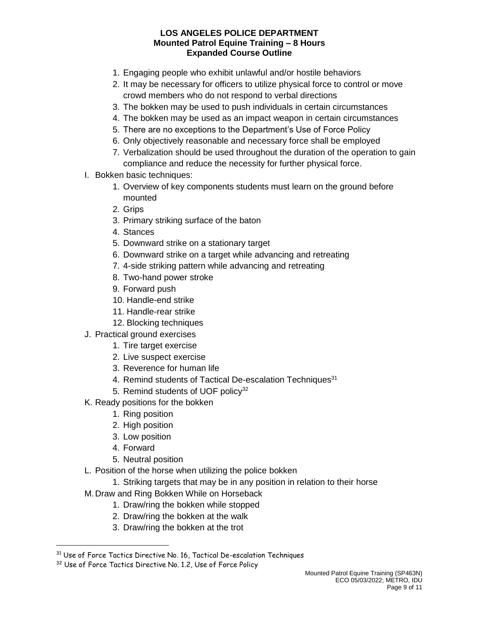- 1. Engaging people who exhibit unlawful and/or hostile behaviors
- 2. It may be necessary for officers to utilize physical force to control or move crowd members who do not respond to verbal directions
- 3. The bokken may be used to push individuals in certain circumstances
- 4. The bokken may be used as an impact weapon in certain circumstances
- 5. There are no exceptions to the Department's Use of Force Policy
- 6. Only objectively reasonable and necessary force shall be employed
- 7. Verbalization should be used throughout the duration of the operation to gain compliance and reduce the necessity for further physical force.
- I. Bokken basic techniques:
	- 1. Overview of key components students must learn on the ground before mounted
	- 2. Grips
	- 3. Primary striking surface of the baton
	- 4. Stances
	- 5. Downward strike on a stationary target
	- 6. Downward strike on a target while advancing and retreating
	- 7. 4-side striking pattern while advancing and retreating
	- 8. Two-hand power stroke
	- 9. Forward push
	- 10. Handle-end strike
	- 11. Handle-rear strike
	- 12. Blocking techniques
- J. Practical ground exercises
	- 1. Tire target exercise
	- 2. Live suspect exercise
	- 3. Reverence for human life
	- 4. Remind students of Tactical De-escalation Techniques<sup>31</sup>
	- 5. Remind students of UOF policy<sup>32</sup>
- K. Ready positions for the bokken
	- 1. Ring position
	- 2. High position
	- 3. Low position
	- 4. Forward

- 5. Neutral position
- L. Position of the horse when utilizing the police bokken
	- 1. Striking targets that may be in any position in relation to their horse
- M.Draw and Ring Bokken While on Horseback
	- 1. Draw/ring the bokken while stopped
	- 2. Draw/ring the bokken at the walk
	- 3. Draw/ring the bokken at the trot

<sup>&</sup>lt;sup>31</sup> Use of Force Tactics Directive No. 16, Tactical De-escalation Techniques

<sup>&</sup>lt;sup>32</sup> Use of Force Tactics Directive No. 1.2, Use of Force Policy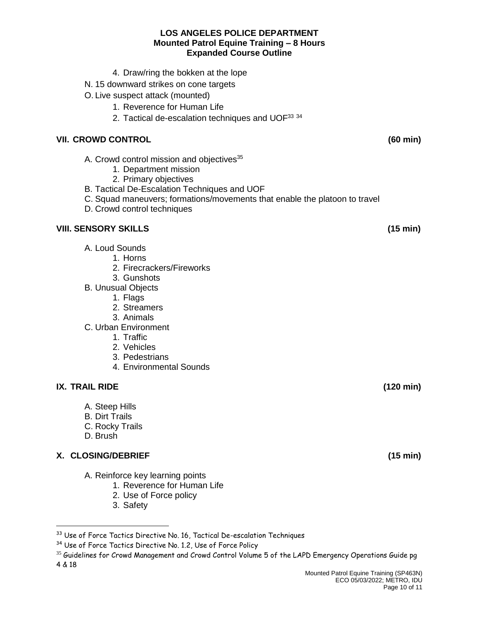- 4. Draw/ring the bokken at the lope
- N. 15 downward strikes on cone targets
- O. Live suspect attack (mounted)
	- 1. Reverence for Human Life
	- 2. Tactical de-escalation techniques and UOF<sup>33 34</sup>

## **VII. CROWD CONTROL (60 min)**

- A. Crowd control mission and objectives<sup>35</sup>
	- 1. Department mission
	- 2. Primary objectives
- B. Tactical De-Escalation Techniques and UOF
- C. Squad maneuvers; formations/movements that enable the platoon to travel
- D. Crowd control techniques

# **VIII. SENSORY SKILLS (15 min)**

- A. Loud Sounds
	- 1. Horns
	- 2. Firecrackers/Fireworks
	- 3. Gunshots
- B. Unusual Objects
	- 1. Flags
	- 2. Streamers
	- 3. Animals
- C. Urban Environment
	- 1. Traffic
	- 2. Vehicles
	- 3. Pedestrians
	- 4. Environmental Sounds

## **IX. TRAIL RIDE (120 min)**

 $\overline{a}$ 

- A. Steep Hills
- B. Dirt Trails
- C. Rocky Trails
- D. Brush

## **X. CLOSING/DEBRIEF (15 min)**

- A. Reinforce key learning points
	- 1. Reverence for Human Life
	- 2. Use of Force policy
	- 3. Safety

<sup>33</sup> Use of Force Tactics Directive No. 16, Tactical De-escalation Techniques

<sup>&</sup>lt;sup>34</sup> Use of Force Tactics Directive No. 1.2, Use of Force Policy

<sup>&</sup>lt;sup>35</sup> Guidelines for Crowd Management and Crowd Control Volume 5 of the LAPD Emergency Operations Guide pg 4 & 18